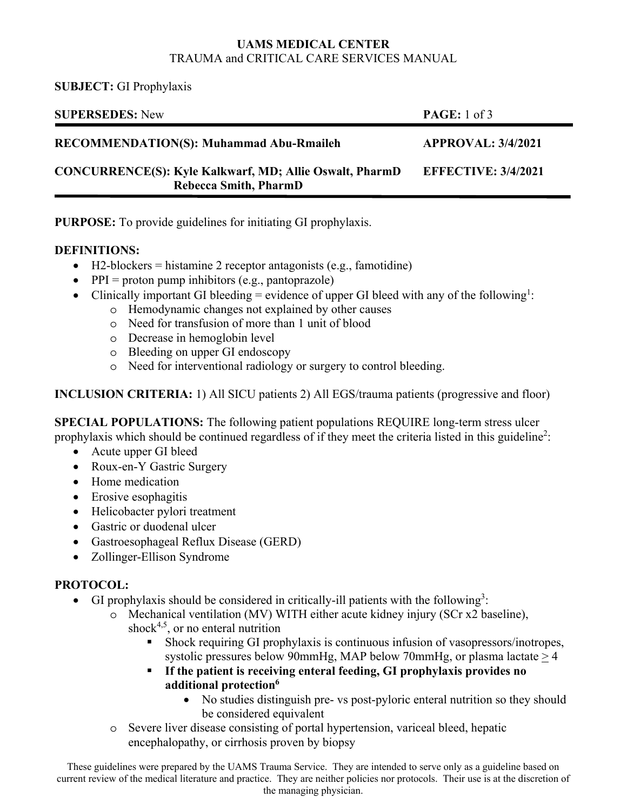### **UAMS MEDICAL CENTER**  TRAUMA and CRITICAL CARE SERVICES MANUAL

**SUBJECT:** GI Prophylaxis

| <b>SUPERSEDES:</b> New                                                                         | <b>PAGE:</b> 1 of 3        |
|------------------------------------------------------------------------------------------------|----------------------------|
| <b>RECOMMENDATION(S): Muhammad Abu-Rmaileh</b>                                                 | <b>APPROVAL: 3/4/2021</b>  |
| <b>CONCURRENCE(S): Kyle Kalkwarf, MD; Allie Oswalt, PharmD</b><br><b>Rebecca Smith, PharmD</b> | <b>EFFECTIVE: 3/4/2021</b> |
|                                                                                                |                            |

**PURPOSE:** To provide guidelines for initiating GI prophylaxis.

## **DEFINITIONS:**

- $\bullet$  H2-blockers = histamine 2 receptor antagonists (e.g., famotidine)
- $\bullet$  PPI = proton pump inhibitors (e.g., pantoprazole)
- Clinically important GI bleeding = evidence of upper GI bleed with any of the following<sup>1</sup>:
	- o Hemodynamic changes not explained by other causes
	- o Need for transfusion of more than 1 unit of blood
	- o Decrease in hemoglobin level
	- o Bleeding on upper GI endoscopy
	- o Need for interventional radiology or surgery to control bleeding.

**INCLUSION CRITERIA:** 1) All SICU patients 2) All EGS/trauma patients (progressive and floor)

**SPECIAL POPULATIONS:** The following patient populations REQUIRE long-term stress ulcer prophylaxis which should be continued regardless of if they meet the criteria listed in this guideline<sup>2</sup>:

- Acute upper GI bleed
- Roux-en-Y Gastric Surgery
- Home medication
- Erosive esophagitis
- Helicobacter pylori treatment
- Gastric or duodenal ulcer
- Gastroesophageal Reflux Disease (GERD)
- Zollinger-Ellison Syndrome

# **PROTOCOL:**

- GI prophylaxis should be considered in critically-ill patients with the following<sup>3</sup>:
	- o Mechanical ventilation (MV) WITH either acute kidney injury (SCr x2 baseline), shock<sup>4,5</sup>, or no enteral nutrition
		- Shock requiring GI prophylaxis is continuous infusion of vasopressors/inotropes, systolic pressures below 90mmHg, MAP below 70mmHg, or plasma lactate  $\geq$  4
		- **If the patient is receiving enteral feeding, GI prophylaxis provides no additional protection<sup>6</sup>** 
			- No studies distinguish pre- vs post-pyloric enteral nutrition so they should be considered equivalent
	- o Severe liver disease consisting of portal hypertension, variceal bleed, hepatic encephalopathy, or cirrhosis proven by biopsy

These guidelines were prepared by the UAMS Trauma Service. They are intended to serve only as a guideline based on current review of the medical literature and practice. They are neither policies nor protocols. Their use is at the discretion of the managing physician.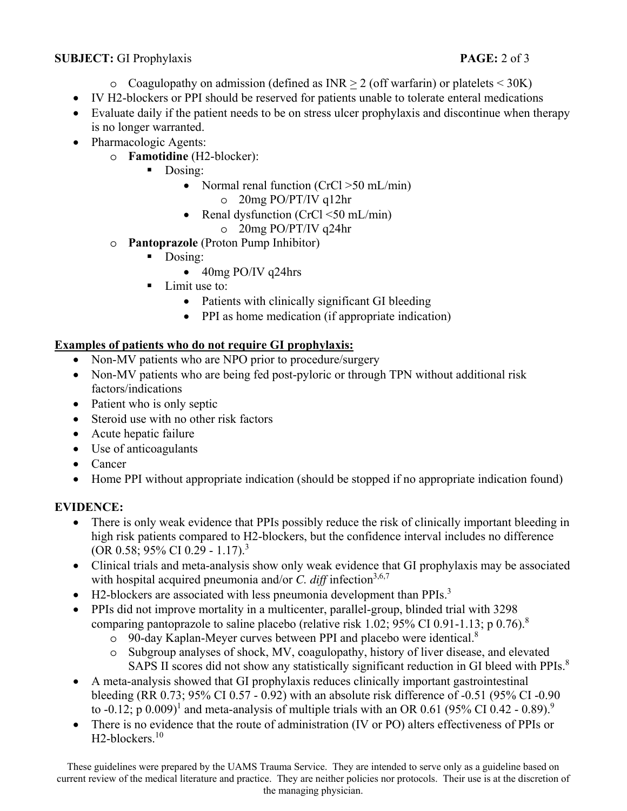### **SUBJECT:** GI Prophylaxis **PAGE:** 2 of 3

- $\circ$  Coagulopathy on admission (defined as INR  $>$  2 (off warfarin) or platelets < 30K)
- IV H2-blockers or PPI should be reserved for patients unable to tolerate enteral medications
- Evaluate daily if the patient needs to be on stress ulcer prophylaxis and discontinue when therapy is no longer warranted.
- Pharmacologic Agents:
	- o **Famotidine** (H2-blocker):
		- Dosing:
			- Normal renal function  $(CrC \geq 50 \text{ mL/min})$ o 20mg PO/PT/IV q12hr
			- Renal dysfunction  $(CrC1 < 50$  mL/min) o 20mg PO/PT/IV q24hr
	- o **Pantoprazole** (Proton Pump Inhibitor)
		- Dosing:
			- 40mg PO/IV q24hrs
		- **Limit use to:** 
			- Patients with clinically significant GI bleeding
			- PPI as home medication (if appropriate indication)

# **Examples of patients who do not require GI prophylaxis:**

- Non-MV patients who are NPO prior to procedure/surgery
- Non-MV patients who are being fed post-pyloric or through TPN without additional risk factors/indications
- Patient who is only septic
- Steroid use with no other risk factors
- Acute hepatic failure
- Use of anticoagulants
- Cancer
- Home PPI without appropriate indication (should be stopped if no appropriate indication found)

# **EVIDENCE:**

- There is only weak evidence that PPIs possibly reduce the risk of clinically important bleeding in high risk patients compared to H2-blockers, but the confidence interval includes no difference (OR 0.58; 95% CI 0.29 - 1.17).<sup>3</sup>
- Clinical trials and meta-analysis show only weak evidence that GI prophylaxis may be associated with hospital acquired pneumonia and/or *C. diff* infection<sup>3,6,7</sup>
- $\bullet$  H2-blockers are associated with less pneumonia development than PPIs.<sup>3</sup>
- PPIs did not improve mortality in a multicenter, parallel-group, blinded trial with 3298 comparing pantoprazole to saline placebo (relative risk 1.02; 95% CI 0.91-1.13; p 0.76).<sup>8</sup>
	- o 90-day Kaplan-Meyer curves between PPI and placebo were identical.<sup>8</sup>
	- o Subgroup analyses of shock, MV, coagulopathy, history of liver disease, and elevated SAPS II scores did not show any statistically significant reduction in GI bleed with PPIs.<sup>8</sup>
- A meta-analysis showed that GI prophylaxis reduces clinically important gastrointestinal bleeding (RR 0.73; 95% CI 0.57 - 0.92) with an absolute risk difference of -0.51 (95% CI -0.90 to -0.12; p 0.009)<sup>1</sup> and meta-analysis of multiple trials with an OR 0.61 (95% CI 0.42 - 0.89).<sup>9</sup>
- There is no evidence that the route of administration (IV or PO) alters effectiveness of PPIs or H<sub>2</sub>-blockers.<sup>10</sup>

These guidelines were prepared by the UAMS Trauma Service. They are intended to serve only as a guideline based on current review of the medical literature and practice. They are neither policies nor protocols. Their use is at the discretion of the managing physician.